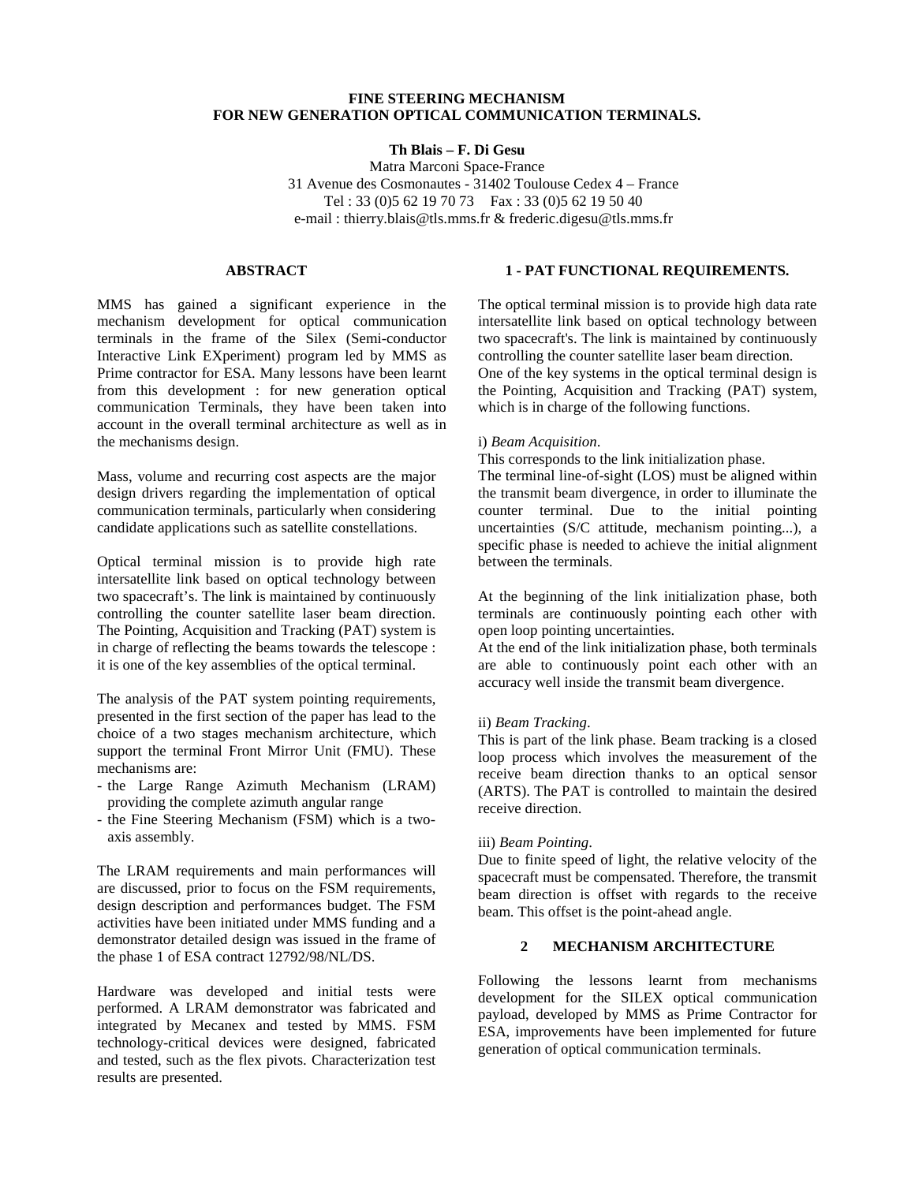## **FINE STEERING MECHANISM FOR NEW GENERATION OPTICAL COMMUNICATION TERMINALS.**

# **Th Blais – F. Di Gesu**

Matra Marconi Space-France 31 Avenue des Cosmonautes - 31402 Toulouse Cedex 4 – France Tel : 33 (0)5 62 19 70 73 Fax : 33 (0)5 62 19 50 40 e-mail : thierry.blais@tls.mms.fr & frederic.digesu@tls.mms.fr

# **ABSTRACT**

MMS has gained a significant experience in the mechanism development for optical communication terminals in the frame of the Silex (Semi-conductor Interactive Link EXperiment) program led by MMS as Prime contractor for ESA. Many lessons have been learnt from this development : for new generation optical communication Terminals, they have been taken into account in the overall terminal architecture as well as in the mechanisms design.

Mass, volume and recurring cost aspects are the major design drivers regarding the implementation of optical communication terminals, particularly when considering candidate applications such as satellite constellations.

Optical terminal mission is to provide high rate intersatellite link based on optical technology between two spacecraft's. The link is maintained by continuously controlling the counter satellite laser beam direction. The Pointing, Acquisition and Tracking (PAT) system is in charge of reflecting the beams towards the telescope : it is one of the key assemblies of the optical terminal.

The analysis of the PAT system pointing requirements, presented in the first section of the paper has lead to the choice of a two stages mechanism architecture, which support the terminal Front Mirror Unit (FMU). These mechanisms are:

- the Large Range Azimuth Mechanism (LRAM) providing the complete azimuth angular range
- the Fine Steering Mechanism (FSM) which is a twoaxis assembly.

The LRAM requirements and main performances will are discussed, prior to focus on the FSM requirements, design description and performances budget. The FSM activities have been initiated under MMS funding and a demonstrator detailed design was issued in the frame of the phase 1 of ESA contract 12792/98/NL/DS.

Hardware was developed and initial tests were performed. A LRAM demonstrator was fabricated and integrated by Mecanex and tested by MMS. FSM technology-critical devices were designed, fabricated and tested, such as the flex pivots. Characterization test results are presented.

# **1 - PAT FUNCTIONAL REQUIREMENTS.**

The optical terminal mission is to provide high data rate intersatellite link based on optical technology between two spacecraft's. The link is maintained by continuously controlling the counter satellite laser beam direction. One of the key systems in the optical terminal design is the Pointing, Acquisition and Tracking (PAT) system, which is in charge of the following functions.

## i) *Beam Acquisition*.

This corresponds to the link initialization phase.

The terminal line-of-sight (LOS) must be aligned within the transmit beam divergence, in order to illuminate the counter terminal. Due to the initial pointing uncertainties (S/C attitude, mechanism pointing...), a specific phase is needed to achieve the initial alignment between the terminals.

At the beginning of the link initialization phase, both terminals are continuously pointing each other with open loop pointing uncertainties.

At the end of the link initialization phase, both terminals are able to continuously point each other with an accuracy well inside the transmit beam divergence.

### ii) *Beam Tracking*.

This is part of the link phase. Beam tracking is a closed loop process which involves the measurement of the receive beam direction thanks to an optical sensor (ARTS). The PAT is controlled to maintain the desired receive direction.

### iii) *Beam Pointing*.

Due to finite speed of light, the relative velocity of the spacecraft must be compensated. Therefore, the transmit beam direction is offset with regards to the receive beam. This offset is the point-ahead angle.

# **2 MECHANISM ARCHITECTURE**

Following the lessons learnt from mechanisms development for the SILEX optical communication payload, developed by MMS as Prime Contractor for ESA, improvements have been implemented for future generation of optical communication terminals.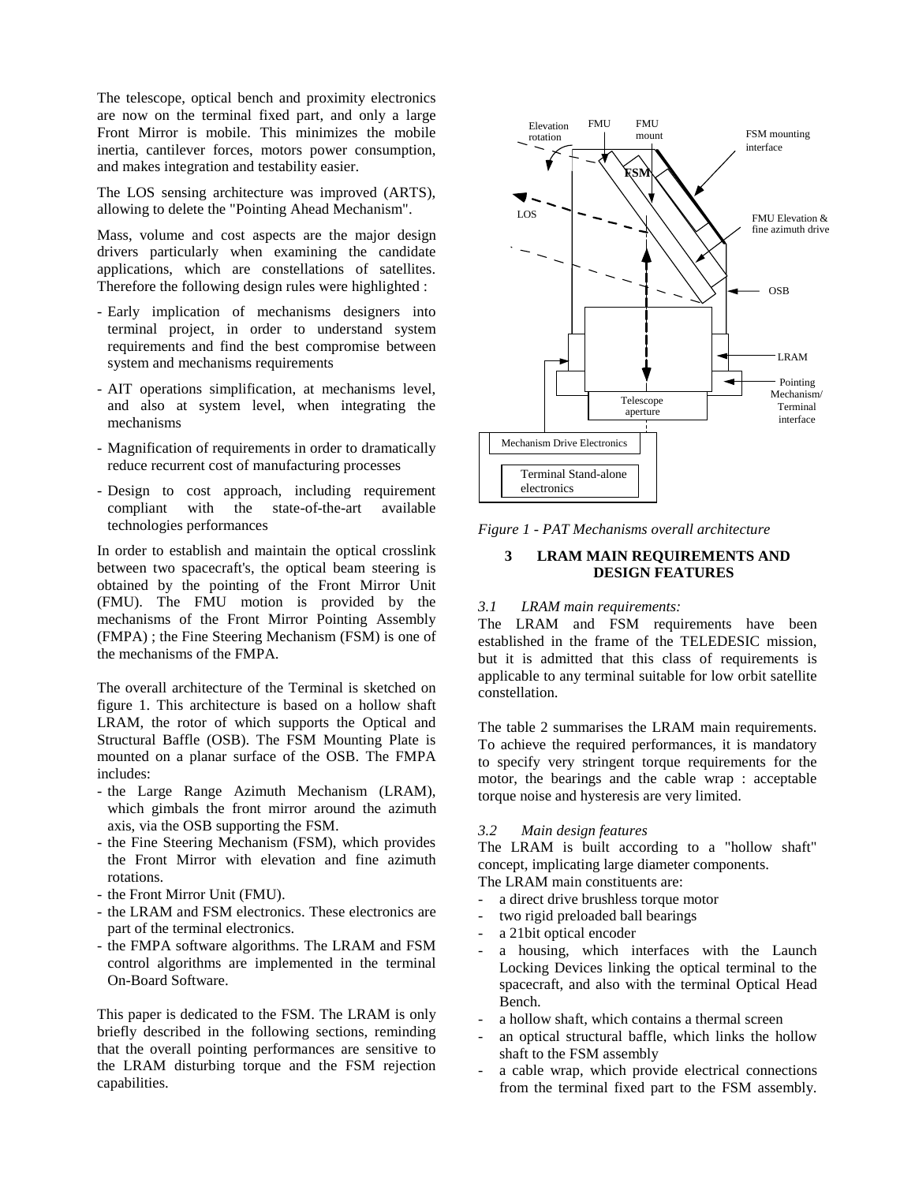The telescope, optical bench and proximity electronics are now on the terminal fixed part, and only a large Front Mirror is mobile. This minimizes the mobile inertia, cantilever forces, motors power consumption, and makes integration and testability easier.

The LOS sensing architecture was improved (ARTS), allowing to delete the "Pointing Ahead Mechanism".

Mass, volume and cost aspects are the major design drivers particularly when examining the candidate applications, which are constellations of satellites. Therefore the following design rules were highlighted :

- Early implication of mechanisms designers into terminal project, in order to understand system requirements and find the best compromise between system and mechanisms requirements
- AIT operations simplification, at mechanisms level, and also at system level, when integrating the mechanisms
- Magnification of requirements in order to dramatically reduce recurrent cost of manufacturing processes
- Design to cost approach, including requirement compliant with the state-of-the-art available technologies performances

In order to establish and maintain the optical crosslink between two spacecraft's, the optical beam steering is obtained by the pointing of the Front Mirror Unit (FMU). The FMU motion is provided by the mechanisms of the Front Mirror Pointing Assembly (FMPA) ; the Fine Steering Mechanism (FSM) is one of the mechanisms of the FMPA.

The overall architecture of the Terminal is sketched on figure 1. This architecture is based on a hollow shaft LRAM, the rotor of which supports the Optical and Structural Baffle (OSB). The FSM Mounting Plate is mounted on a planar surface of the OSB. The FMPA includes:

- the Large Range Azimuth Mechanism (LRAM), which gimbals the front mirror around the azimuth axis, via the OSB supporting the FSM.
- the Fine Steering Mechanism (FSM), which provides the Front Mirror with elevation and fine azimuth rotations.
- the Front Mirror Unit (FMU).
- the LRAM and FSM electronics. These electronics are part of the terminal electronics.
- the FMPA software algorithms. The LRAM and FSM control algorithms are implemented in the terminal On-Board Software.

This paper is dedicated to the FSM. The LRAM is only briefly described in the following sections, reminding that the overall pointing performances are sensitive to the LRAM disturbing torque and the FSM rejection capabilities.



*Figure 1 - PAT Mechanisms overall architecture*

## **3 LRAM MAIN REQUIREMENTS AND DESIGN FEATURES**

# *3.1 LRAM main requirements:*

The LRAM and FSM requirements have been established in the frame of the TELEDESIC mission, but it is admitted that this class of requirements is applicable to any terminal suitable for low orbit satellite constellation.

The table 2 summarises the LRAM main requirements. To achieve the required performances, it is mandatory to specify very stringent torque requirements for the motor, the bearings and the cable wrap : acceptable torque noise and hysteresis are very limited.

#### *3.2 Main design features*

The LRAM is built according to a "hollow shaft" concept, implicating large diameter components.

The LRAM main constituents are:

- a direct drive brushless torque motor
- two rigid preloaded ball bearings
- a 21bit optical encoder
- a housing, which interfaces with the Launch Locking Devices linking the optical terminal to the spacecraft, and also with the terminal Optical Head Bench.
- a hollow shaft, which contains a thermal screen
- an optical structural baffle, which links the hollow shaft to the FSM assembly
- a cable wrap, which provide electrical connections from the terminal fixed part to the FSM assembly.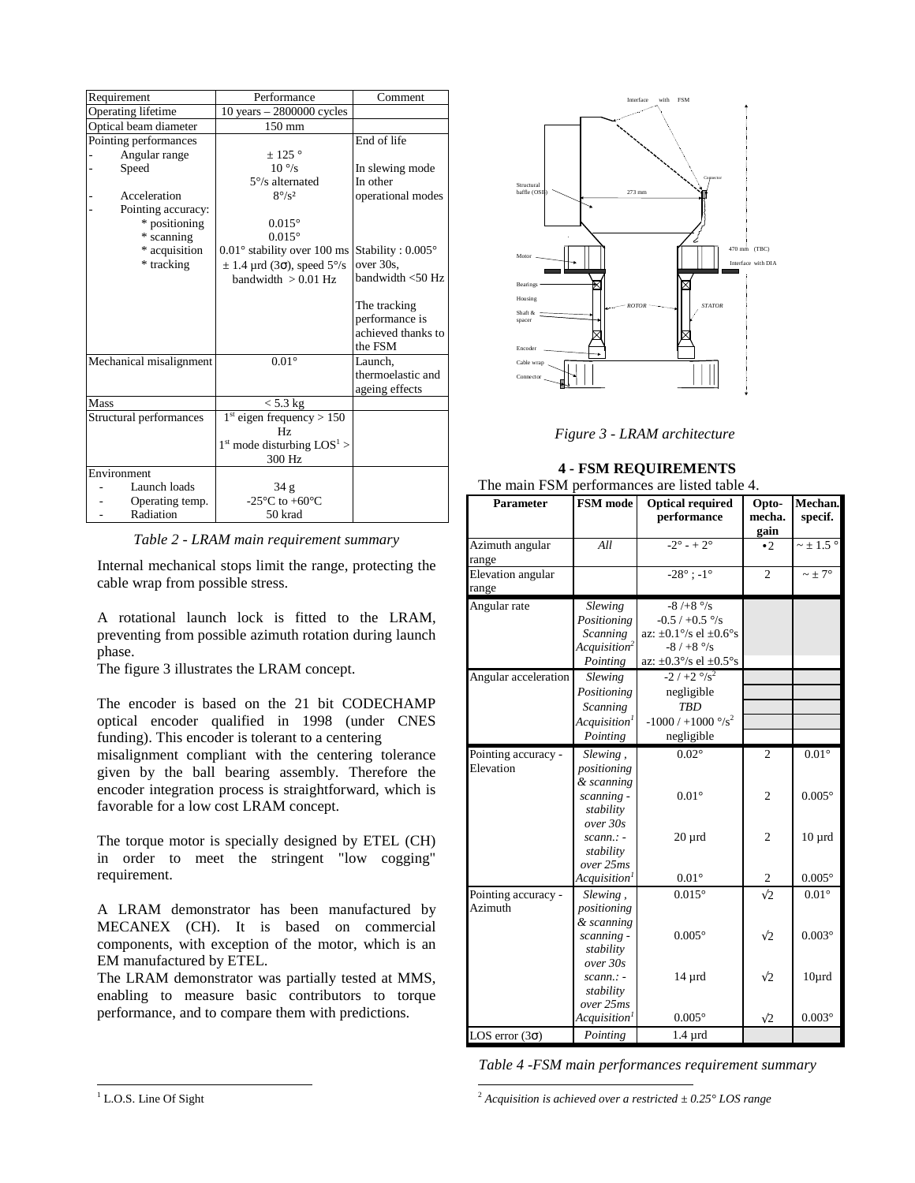| Requirement                  | Performance                                                     | Comment                                                         |
|------------------------------|-----------------------------------------------------------------|-----------------------------------------------------------------|
| Operating lifetime           | 10 years $-2800000$ cycles                                      |                                                                 |
| Optical beam diameter        | 150 mm                                                          |                                                                 |
| Pointing performances        |                                                                 | End of life                                                     |
| Angular range                | $+125$ °                                                        |                                                                 |
| Speed                        | $10\degree$ /s                                                  | In slewing mode                                                 |
|                              | $5^{\circ}/s$ alternated                                        | In other                                                        |
| Acceleration                 | $8^\circ$ /s <sup>2</sup>                                       | operational modes                                               |
| Pointing accuracy:           |                                                                 |                                                                 |
| * positioning                | $0.015^{\circ}$                                                 |                                                                 |
| * scanning                   | $0.015^{\circ}$                                                 |                                                                 |
| * acquisition                | $0.01^{\circ}$ stability over 100 ms                            | Stability : $0.005^{\circ}$                                     |
| * tracking                   | $\pm$ 1.4 µrd (3 $\sigma$ ), speed 5°/s                         | over 30s.                                                       |
|                              | bandwidth $> 0.01$ Hz                                           | bandwidth < 50 Hz                                               |
|                              |                                                                 | The tracking<br>performance is<br>achieved thanks to<br>the FSM |
| Mechanical misalignment      | $0.01^\circ$                                                    | Launch,                                                         |
|                              |                                                                 | thermoelastic and                                               |
|                              |                                                                 | ageing effects                                                  |
| Mass                         | $<$ 5.3 kg                                                      |                                                                 |
| Structural performances      | $1st$ eigen frequency > 150                                     |                                                                 |
|                              | Hz                                                              |                                                                 |
|                              | $1st$ mode disturbing $LOS1$                                    |                                                                 |
| Environment                  | 300 Hz                                                          |                                                                 |
| Launch loads                 |                                                                 |                                                                 |
|                              | 34 <sub>g</sub><br>-25 $\rm{^{\circ}C}$ to +60 $\rm{^{\circ}C}$ |                                                                 |
| Operating temp.<br>Radiation | 50 krad                                                         |                                                                 |
|                              |                                                                 |                                                                 |

*Table 2 - LRAM main requirement summary*

Internal mechanical stops limit the range, protecting the cable wrap from possible stress.

A rotational launch lock is fitted to the LRAM, preventing from possible azimuth rotation during launch phase.

The figure 3 illustrates the LRAM concept.

The encoder is based on the 21 bit CODECHAMP optical encoder qualified in 1998 (under CNES funding). This encoder is tolerant to a centering

misalignment compliant with the centering tolerance given by the ball bearing assembly. Therefore the encoder integration process is straightforward, which is favorable for a low cost LRAM concept.

The torque motor is specially designed by ETEL (CH) in order to meet the stringent "low cogging" requirement.

A LRAM demonstrator has been manufactured by MECANEX (CH). It is based on commercial components, with exception of the motor, which is an EM manufactured by ETEL.

The LRAM demonstrator was partially tested at MMS, enabling to measure basic contributors to torque performance, and to compare them with predictions.



*Figure 3 - LRAM architecture*

# **4 - FSM REQUIREMENTS**

|  | The main FSM performances are listed table 4. |  |  |
|--|-----------------------------------------------|--|--|
|  |                                               |  |  |

| гие шаш гэлт          | $perf$ performances are fisical table $\pm$ . |                                               |                         |                           |  |
|-----------------------|-----------------------------------------------|-----------------------------------------------|-------------------------|---------------------------|--|
| <b>Parameter</b>      | FSM mode                                      | <b>Optical required</b><br>performance        | Opto-<br>mecha.<br>gain | Mechan.<br>specif.        |  |
| Azimuth angular       | All                                           | $-2^{\circ} - 2^{\circ}$                      | $\cdot$ 2.              | $\sim \pm$ 1.5 $^{\circ}$ |  |
| range                 |                                               |                                               |                         |                           |  |
| Elevation angular     |                                               | $-28^{\circ}$ ; $-1^{\circ}$                  | $\overline{c}$          | $\sim \pm 7^{\circ}$      |  |
| range                 |                                               |                                               |                         |                           |  |
| Angular rate          | <b>Slewing</b>                                | $-8/+8$ $\degree$ /s                          |                         |                           |  |
|                       | Positioning                                   | $-0.5 / +0.5$ %                               |                         |                           |  |
|                       | <b>Scanning</b>                               | az: $\pm 0.1^{\circ}/s$ el $\pm 0.6^{\circ}s$ |                         |                           |  |
|                       | Acquisition <sup>2</sup>                      | $-8/ +8$ $\degree$ /s                         |                         |                           |  |
|                       | Pointing                                      | az: $\pm 0.3^{\circ}/s$ el $\pm 0.5^{\circ}s$ |                         |                           |  |
| Angular acceleration  | Slewing                                       | $-2/+2$ $\frac{\circ}{s^2}$                   |                         |                           |  |
|                       | Positioning                                   | negligible                                    |                         |                           |  |
|                       | <b>Scanning</b>                               | <b>TBD</b>                                    |                         |                           |  |
|                       | Acquistion <sup>1</sup>                       | $-1000 / +1000$ °/s <sup>2</sup>              |                         |                           |  |
|                       | Pointing                                      | negligible                                    |                         |                           |  |
| Pointing accuracy -   | Slewing,                                      | $0.02^\circ$                                  | $\overline{c}$          | $\overline{0.01^{\circ}}$ |  |
| Elevation             | positioning                                   |                                               |                         |                           |  |
|                       | & scanning                                    |                                               |                         |                           |  |
|                       | scanning -                                    | $0.01^\circ$                                  | $\overline{c}$          | $0.005^\circ$             |  |
|                       | stability                                     |                                               |                         |                           |  |
|                       | over 30s                                      |                                               |                         |                           |  |
|                       | $scann$ : -                                   | $20 \mu$ rd                                   | $\overline{c}$          | $10 \mu$ rd               |  |
|                       | stability                                     |                                               |                         |                           |  |
|                       | over 25ms                                     |                                               |                         |                           |  |
|                       | Acquisition <sup>1</sup>                      | $0.01^{\circ}$                                | $\mathfrak{2}$          | $0.005^{\circ}$           |  |
| Pointing accuracy -   | Slewing,                                      | $0.015^{\circ}$                               | $\sqrt{2}$              | $0.01^\circ$              |  |
| Azimuth               | positioning                                   |                                               |                         |                           |  |
|                       | & scanning                                    |                                               |                         |                           |  |
|                       | scanning -                                    | $0.005^\circ$                                 | $\sqrt{2}$              | $0.003^\circ$             |  |
|                       | stability                                     |                                               |                         |                           |  |
|                       | over 30s                                      |                                               |                         |                           |  |
|                       | $scann$ : -                                   | $14 \mu$ rd                                   | $\sqrt{2}$              | $10\mu$ rd                |  |
|                       | stability                                     |                                               |                         |                           |  |
|                       | over 25ms                                     |                                               |                         |                           |  |
|                       | Acquisition <sup>1</sup>                      | $0.005^\circ$                                 | $\sqrt{2}$              | $0.003^\circ$             |  |
| LOS error $(3\sigma)$ | Pointing                                      | $1.4 \mu$ rd                                  |                         |                           |  |

<sup>1</sup> <sup>2</sup> *Acquisition is achieved over a restricted ± 0.25° LOS range*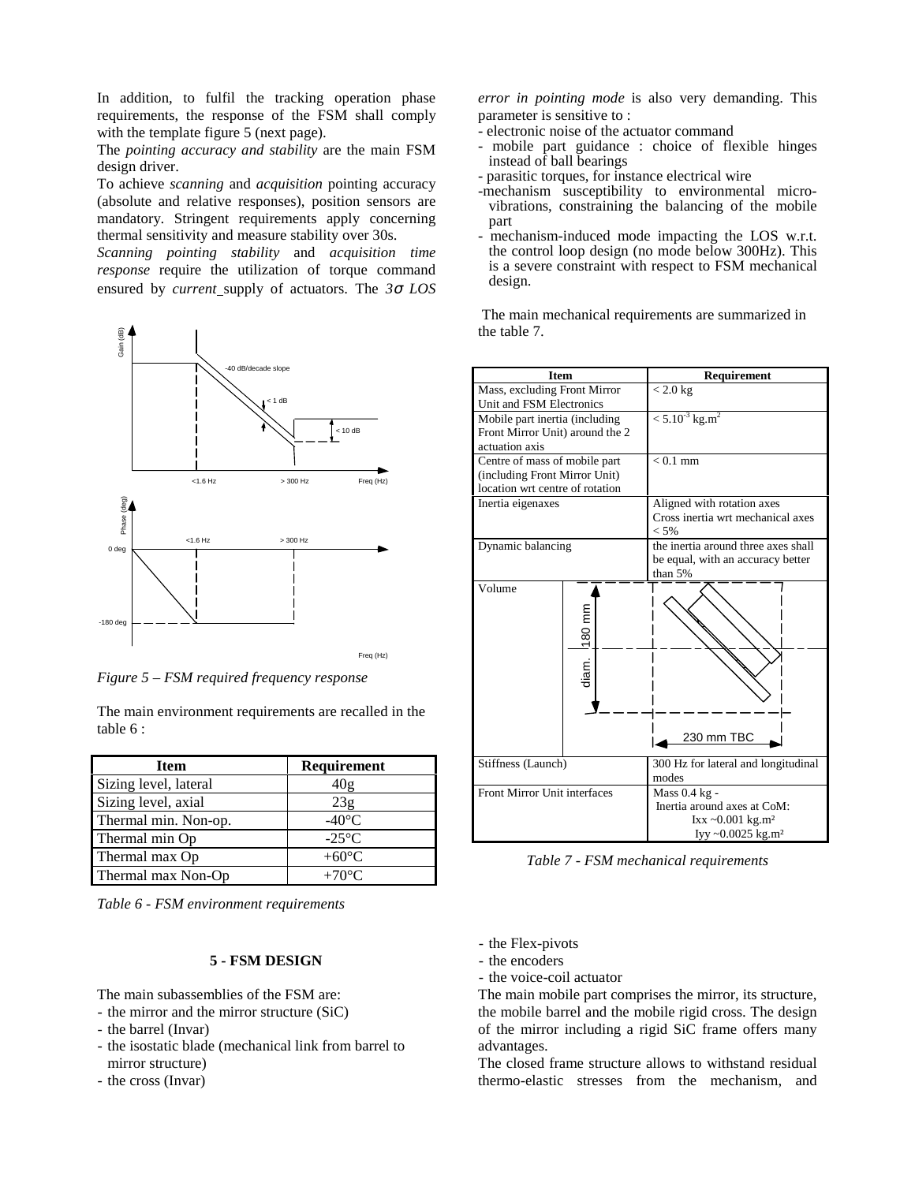In addition, to fulfil the tracking operation phase requirements, the response of the FSM shall comply with the template figure 5 (next page).

The *pointing accuracy and stability* are the main FSM design driver.

To achieve *scanning* and *acquisition* pointing accuracy (absolute and relative responses), position sensors are mandatory. Stringent requirements apply concerning thermal sensitivity and measure stability over 30s.

*Scanning pointing stability* and *acquisition time response* require the utilization of torque command ensured by *current* supply of actuators. The *3*σ *LOS*



*Figure 5 – FSM required frequency response*

The main environment requirements are recalled in the table 6 :

| <b>Item</b>           | Requirement     |
|-----------------------|-----------------|
| Sizing level, lateral | 40g             |
| Sizing level, axial   | 23g             |
| Thermal min. Non-op.  | $-40^{\circ}$ C |
| Thermal min Op        | $-25^{\circ}$ C |
| Thermal max Op        | $+60^{\circ}C$  |
| Thermal max Non-Op    | $+70^{\circ}$ C |

*Table 6 - FSM environment requirements*

## **5 - FSM DESIGN**

The main subassemblies of the FSM are:

- the mirror and the mirror structure (SiC)
- the barrel (Invar)
- the isostatic blade (mechanical link from barrel to mirror structure)
- the cross (Invar)

*error in pointing mode* is also very demanding. This parameter is sensitive to :

- electronic noise of the actuator command
- mobile part guidance : choice of flexible hinges instead of ball bearings
- parasitic torques, for instance electrical wire
- -mechanism susceptibility to environmental microvibrations, constraining the balancing of the mobile part
- mechanism-induced mode impacting the LOS w.r.t. the control loop design (no mode below 300Hz). This is a severe constraint with respect to FSM mechanical design.

 The main mechanical requirements are summarized in the table 7.



*Table 7 - FSM mechanical requirements*

- the Flex-pivots
- the encoders
- the voice-coil actuator

The main mobile part comprises the mirror, its structure, the mobile barrel and the mobile rigid cross. The design of the mirror including a rigid SiC frame offers many advantages.

The closed frame structure allows to withstand residual thermo-elastic stresses from the mechanism, and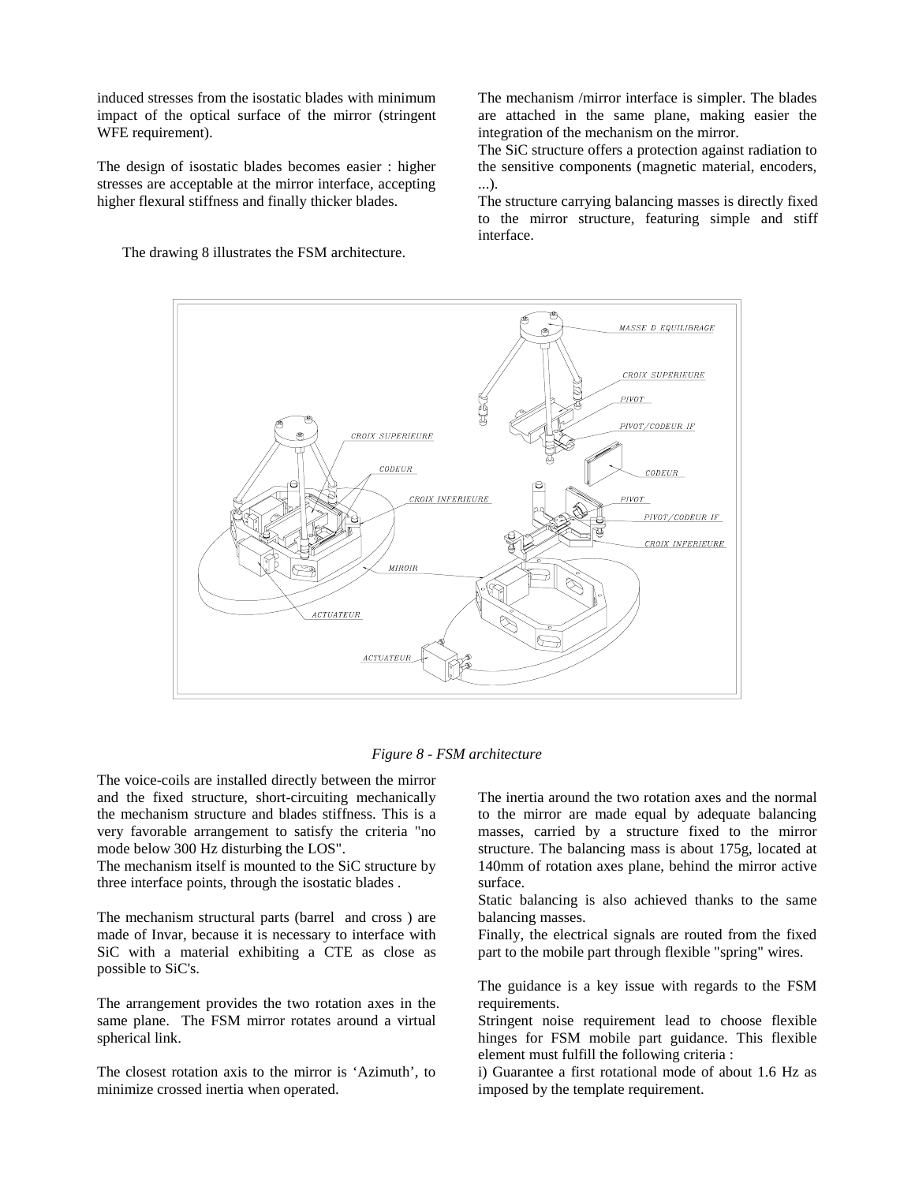induced stresses from the isostatic blades with minimum impact of the optical surface of the mirror (stringent WFE requirement).

The design of isostatic blades becomes easier : higher stresses are acceptable at the mirror interface, accepting higher flexural stiffness and finally thicker blades.

The drawing 8 illustrates the FSM architecture.

The mechanism /mirror interface is simpler. The blades are attached in the same plane, making easier the integration of the mechanism on the mirror.

The SiC structure offers a protection against radiation to the sensitive components (magnetic material, encoders, ...).

The structure carrying balancing masses is directly fixed to the mirror structure, featuring simple and stiff interface.



*Figure 8 - FSM architecture*

The voice-coils are installed directly between the mirror and the fixed structure, short-circuiting mechanically the mechanism structure and blades stiffness. This is a very favorable arrangement to satisfy the criteria "no mode below 300 Hz disturbing the LOS".

The mechanism itself is mounted to the SiC structure by three interface points, through the isostatic blades .

The mechanism structural parts (barrel and cross ) are made of Invar, because it is necessary to interface with SiC with a material exhibiting a CTE as close as possible to SiC's.

The arrangement provides the two rotation axes in the same plane. The FSM mirror rotates around a virtual spherical link.

The closest rotation axis to the mirror is 'Azimuth', to minimize crossed inertia when operated.

The inertia around the two rotation axes and the normal to the mirror are made equal by adequate balancing masses, carried by a structure fixed to the mirror structure. The balancing mass is about 175g, located at 140mm of rotation axes plane, behind the mirror active surface.

Static balancing is also achieved thanks to the same balancing masses.

Finally, the electrical signals are routed from the fixed part to the mobile part through flexible "spring" wires.

The guidance is a key issue with regards to the FSM requirements.

Stringent noise requirement lead to choose flexible hinges for FSM mobile part guidance. This flexible element must fulfill the following criteria :

i) Guarantee a first rotational mode of about 1.6 Hz as imposed by the template requirement.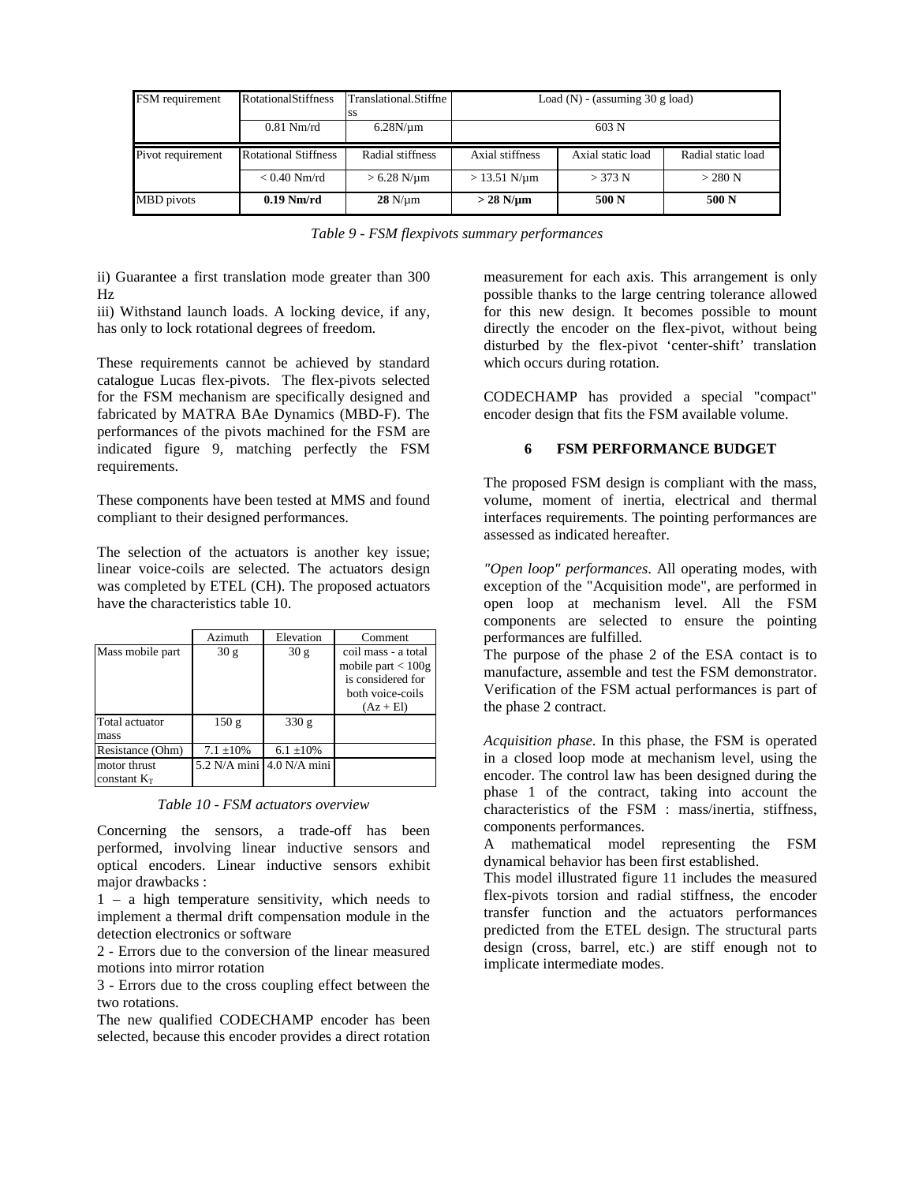| FSM requirement   | RotationalStiffness         | Translational.Stiffne | Load (N) - (assuming $30$ g load)<br>$603$ N |                   |                    |
|-------------------|-----------------------------|-----------------------|----------------------------------------------|-------------------|--------------------|
|                   | $0.81$ Nm/rd                | $6.28N/\mu m$         |                                              |                   |                    |
| Pivot requirement | <b>Rotational Stiffness</b> | Radial stiffness      | Axial stiffness                              | Axial static load | Radial static load |
|                   | $< 0.40$ Nm/rd              | $> 6.28$ N/ $\mu$ m   | $> 13.51$ N/µm                               | > 373 N           | $>$ 280 N          |
| MBD pivots        | $0.19$ Nm/rd                | $28$ N/ $\mu$ m       | $>$ 28 N/µm                                  | 500 N             | 500 N              |

*Table 9 - FSM flexpivots summary performances*

ii) Guarantee a first translation mode greater than 300 Hz

iii) Withstand launch loads. A locking device, if any, has only to lock rotational degrees of freedom.

These requirements cannot be achieved by standard catalogue Lucas flex-pivots. The flex-pivots selected for the FSM mechanism are specifically designed and fabricated by MATRA BAe Dynamics (MBD-F). The performances of the pivots machined for the FSM are indicated figure 9, matching perfectly the FSM requirements.

These components have been tested at MMS and found compliant to their designed performances.

The selection of the actuators is another key issue; linear voice-coils are selected. The actuators design was completed by ETEL (CH). The proposed actuators have the characteristics table 10.

|                                | Azimuth        | Elevation                 | Comment                                                                                             |
|--------------------------------|----------------|---------------------------|-----------------------------------------------------------------------------------------------------|
| Mass mobile part               | 30 g           | 30 <sub>g</sub>           | coil mass - a total<br>mobile part $< 100g$<br>is considered for<br>both voice-coils<br>$(Az + El)$ |
| Total actuator<br>mass         | 150 g          | 330 g                     |                                                                                                     |
| Resistance (Ohm)               | $7.1 \pm 10\%$ | $6.1 \pm 10\%$            |                                                                                                     |
| motor thrust<br>constant $K_T$ |                | 5.2 N/A mini 4.0 N/A mini |                                                                                                     |

*Table 10 - FSM actuators overview*

Concerning the sensors, a trade-off has been performed, involving linear inductive sensors and optical encoders. Linear inductive sensors exhibit major drawbacks :

1 – a high temperature sensitivity, which needs to implement a thermal drift compensation module in the detection electronics or software

2 - Errors due to the conversion of the linear measured motions into mirror rotation

3 - Errors due to the cross coupling effect between the two rotations.

The new qualified CODECHAMP encoder has been selected, because this encoder provides a direct rotation measurement for each axis. This arrangement is only possible thanks to the large centring tolerance allowed for this new design. It becomes possible to mount directly the encoder on the flex-pivot, without being disturbed by the flex-pivot 'center-shift' translation which occurs during rotation.

CODECHAMP has provided a special "compact" encoder design that fits the FSM available volume.

# **6 FSM PERFORMANCE BUDGET**

The proposed FSM design is compliant with the mass, volume, moment of inertia, electrical and thermal interfaces requirements. The pointing performances are assessed as indicated hereafter.

*"Open loop" performances*. All operating modes, with exception of the "Acquisition mode", are performed in open loop at mechanism level. All the FSM components are selected to ensure the pointing performances are fulfilled.

The purpose of the phase 2 of the ESA contact is to manufacture, assemble and test the FSM demonstrator. Verification of the FSM actual performances is part of the phase 2 contract.

*Acquisition phase*. In this phase, the FSM is operated in a closed loop mode at mechanism level, using the encoder. The control law has been designed during the phase 1 of the contract, taking into account the characteristics of the FSM : mass/inertia, stiffness, components performances.

A mathematical model representing the FSM dynamical behavior has been first established.

This model illustrated figure 11 includes the measured flex-pivots torsion and radial stiffness, the encoder transfer function and the actuators performances predicted from the ETEL design. The structural parts design (cross, barrel, etc.) are stiff enough not to implicate intermediate modes.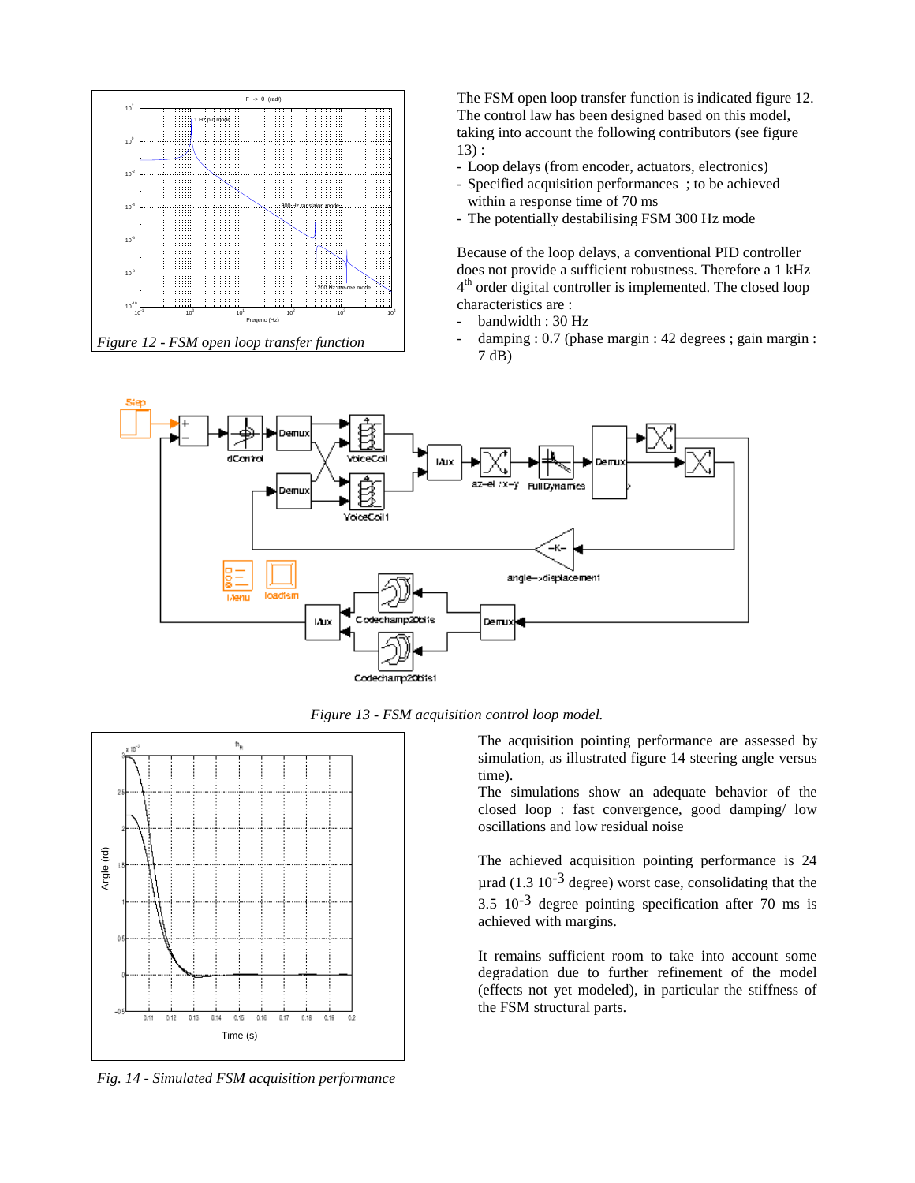

The FSM open loop transfer function is indicated figure 12. The control law has been designed based on this model, taking into account the following contributors (see figure 13) :

- Loop delays (from encoder, actuators, electronics)
- Specified acquisition performances ; to be achieved within a response time of 70 ms
- The potentially destabilising FSM 300 Hz mode

Because of the loop delays, a conventional PID controller does not provide a sufficient robustness. Therefore a 1 kHz 4<sup>th</sup> order digital controller is implemented. The closed loop characteristics are :

- bandwidth : 30 Hz
- damping : 0.7 (phase margin : 42 degrees ; gain margin : 7 dB)



*Figure 13 - FSM acquisition control loop model.*



*Fig. 14 - Simulated FSM acquisition performance*

The acquisition pointing performance are assessed by simulation, as illustrated figure 14 steering angle versus time).

The simulations show an adequate behavior of the closed loop : fast convergence, good damping/ low oscillations and low residual noise

The achieved acquisition pointing performance is 24 urad (1.3  $10^{-3}$  degree) worst case, consolidating that the  $3.5 \times 10^{-3}$  degree pointing specification after 70 ms is achieved with margins.

It remains sufficient room to take into account some degradation due to further refinement of the model (effects not yet modeled), in particular the stiffness of the FSM structural parts.